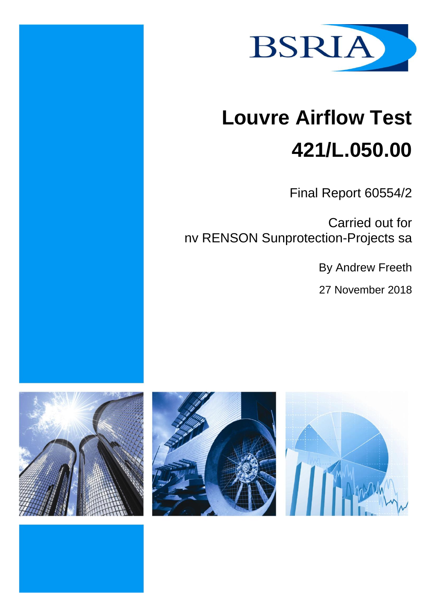

# **Louvre Airflow Test 421/L.050.00**

Final Report 60554/2

Carried out for nv RENSON Sunprotection-Projects sa

By Andrew Freeth

27 November 2018





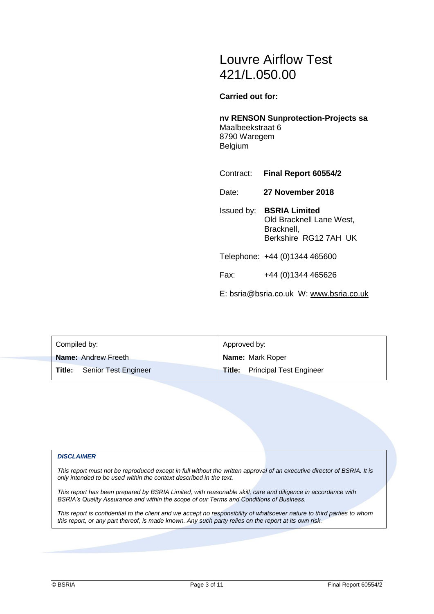# Louvre Airflow Test 421/L.050.00

**Carried out for:**

**nv RENSON Sunprotection-Projects sa** Maalbeekstraat 6 8790 Waregem Belgium

- Contract: **Final Report 60554/2**
- Date: **27 November 2018**
- Issued by: **BSRIA Limited** Old Bracknell Lane West, Bracknell, Berkshire RG12 7AH UK
- Telephone: +44 (0)1344 465600
- Fax: +44 (0)1344 465626

E: bsria@bsria.co.uk W: [www.bsria.co.uk](http://www.bsria.co.uk/)

| Compiled by:                     | Approved by:                          |  |  |
|----------------------------------|---------------------------------------|--|--|
| <b>Name:</b> Andrew Freeth       | <b>Name: Mark Roper</b>               |  |  |
| Senior Test Engineer<br>l Title: | <b>Title:</b> Principal Test Engineer |  |  |

#### *DISCLAIMER*

*This report must not be reproduced except in full without the written approval of an executive director of BSRIA. It is only intended to be used within the context described in the text.*

*This report has been prepared by BSRIA Limited, with reasonable skill, care and diligence in accordance with BSRIA's Quality Assurance and within the scope of our Terms and Conditions of Business.*

*This report is confidential to the client and we accept no responsibility of whatsoever nature to third parties to whom this report, or any part thereof, is made known. Any such party relies on the report at its own risk.*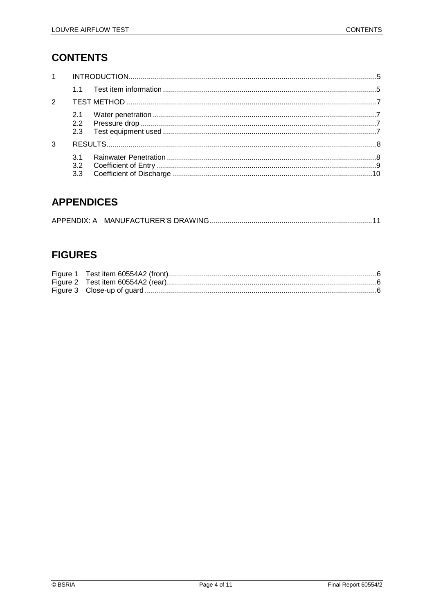# **CONTENTS**

| $1 \quad \blacksquare$ |                                |  |  |
|------------------------|--------------------------------|--|--|
|                        |                                |  |  |
| 2                      |                                |  |  |
|                        | 2.1<br>2.2 <sub>2</sub><br>2.3 |  |  |
| 3                      |                                |  |  |
|                        | $\overline{3}$ 1<br>3.3        |  |  |

## **APPENDICES**

# **FIGURES**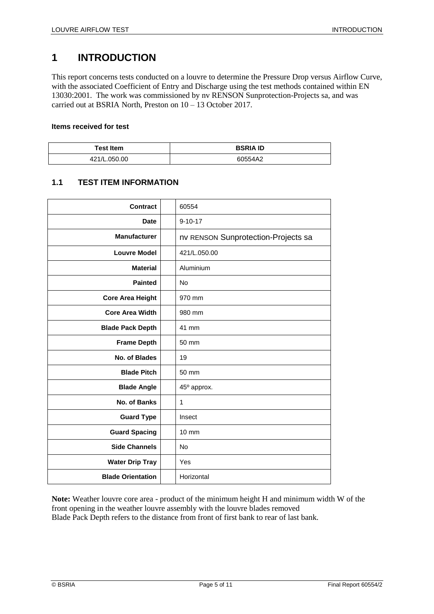# <span id="page-4-0"></span>**1 INTRODUCTION**

This report concerns tests conducted on a louvre to determine the Pressure Drop versus Airflow Curve, with the associated Coefficient of Entry and Discharge using the test methods contained within EN 13030:2001. The work was commissioned by nv RENSON Sunprotection-Projects sa, and was carried out at BSRIA North, Preston on 10 – 13 October 2017.

#### **Items received for test**

| <b>Test Item</b> | <b>BSRIA ID</b> |  |
|------------------|-----------------|--|
| 421/L.050.00     | 60554A2         |  |

#### <span id="page-4-1"></span>**1.1 TEST ITEM INFORMATION**

| <b>Contract</b>          | 60554           |                                     |
|--------------------------|-----------------|-------------------------------------|
| <b>Date</b>              | $9 - 10 - 17$   |                                     |
| <b>Manufacturer</b>      |                 | nv RENSON Sunprotection-Projects sa |
| <b>Louvre Model</b>      |                 | 421/L.050.00                        |
| <b>Material</b>          | Aluminium       |                                     |
| <b>Painted</b>           | No              |                                     |
| <b>Core Area Height</b>  | 970 mm          |                                     |
| <b>Core Area Width</b>   | 980 mm          |                                     |
| <b>Blade Pack Depth</b>  | 41 mm           |                                     |
| <b>Frame Depth</b>       | 50 mm           |                                     |
| No. of Blades            | 19              |                                     |
| <b>Blade Pitch</b>       | 50 mm           |                                     |
| <b>Blade Angle</b>       | 45° approx.     |                                     |
| No. of Banks             | 1               |                                     |
| <b>Guard Type</b>        | Insect          |                                     |
| <b>Guard Spacing</b>     | $10 \text{ mm}$ |                                     |
| <b>Side Channels</b>     | <b>No</b>       |                                     |
| <b>Water Drip Tray</b>   | Yes             |                                     |
| <b>Blade Orientation</b> | Horizontal      |                                     |

**Note:** Weather louvre core area - product of the minimum height H and minimum width W of the front opening in the weather louvre assembly with the louvre blades removed Blade Pack Depth refers to the distance from front of first bank to rear of last bank.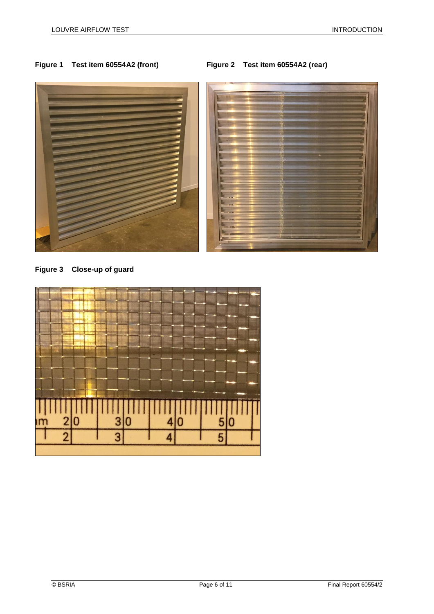

**Figure 3 Close-up of guard**

<span id="page-5-2"></span>

#### <span id="page-5-1"></span><span id="page-5-0"></span>**Figure 1 Test item 60554A2 (front) Figure 2 Test item 60554A2 (rear)**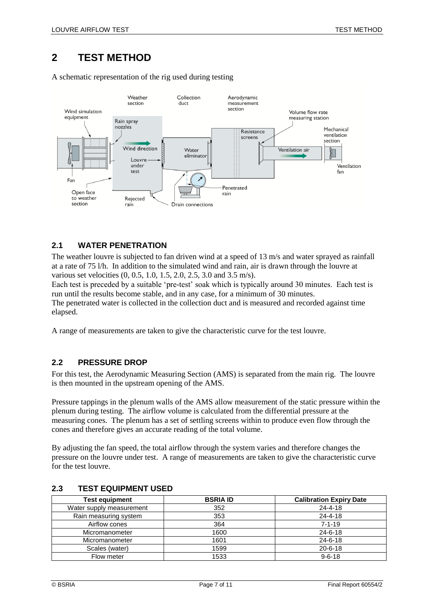# <span id="page-6-0"></span>**2 TEST METHOD**

A schematic representation of the rig used during testing



#### <span id="page-6-1"></span>**2.1 WATER PENETRATION**

The weather louvre is subjected to fan driven wind at a speed of 13 m/s and water sprayed as rainfall at a rate of 75 l/h. In addition to the simulated wind and rain, air is drawn through the louvre at various set velocities (0, 0.5, 1.0, 1.5, 2.0, 2.5, 3.0 and 3.5 m/s).

Each test is preceded by a suitable 'pre-test' soak which is typically around 30 minutes. Each test is run until the results become stable, and in any case, for a minimum of 30 minutes.

The penetrated water is collected in the collection duct and is measured and recorded against time elapsed.

A range of measurements are taken to give the characteristic curve for the test louvre.

#### <span id="page-6-2"></span>**2.2 PRESSURE DROP**

For this test, the Aerodynamic Measuring Section (AMS) is separated from the main rig. The louvre is then mounted in the upstream opening of the AMS.

Pressure tappings in the plenum walls of the AMS allow measurement of the static pressure within the plenum during testing. The airflow volume is calculated from the differential pressure at the measuring cones. The plenum has a set of settling screens within to produce even flow through the cones and therefore gives an accurate reading of the total volume.

By adjusting the fan speed, the total airflow through the system varies and therefore changes the pressure on the louvre under test. A range of measurements are taken to give the characteristic curve for the test louvre.

| <b>Test equipment</b>    | <b>BSRIA ID</b> | <b>Calibration Expiry Date</b> |
|--------------------------|-----------------|--------------------------------|
| Water supply measurement | 352             | $24 - 4 - 18$                  |
| Rain measuring system    | 353             | $24 - 4 - 18$                  |
| Airflow cones            | 364             | $7 - 1 - 19$                   |
| Micromanometer           | 1600            | $24 - 6 - 18$                  |
| Micromanometer           | 1601            | $24 - 6 - 18$                  |
| Scales (water)           | 1599            | $20 - 6 - 18$                  |
| Flow meter               | 1533            | $9 - 6 - 18$                   |

#### <span id="page-6-3"></span>**2.3 TEST EQUIPMENT USED**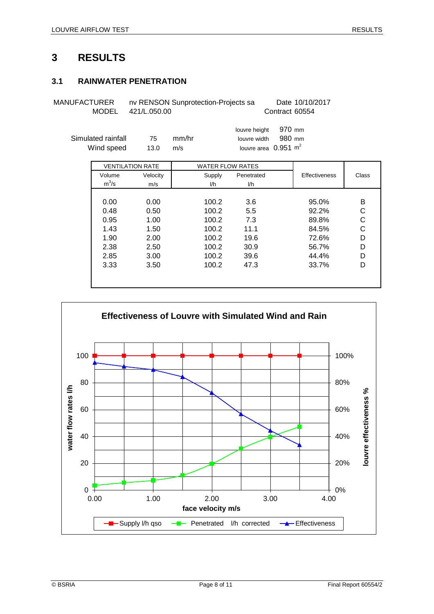#### <span id="page-7-1"></span><span id="page-7-0"></span>**3.1 RAINWATER PENETRATION**

MANUFACTURER nv RENSON Sunprotection-Projects sa Date 10/10/2017 MODEL Contract 60554 421/L.050.00

|                    |      |       | louvre height 970 mm            |        |  |
|--------------------|------|-------|---------------------------------|--------|--|
| Simulated rainfall | 75.  | mm/hr | louvre width                    | 980 mm |  |
| Wind speed         | 13.0 | m/s   | louvre area $0.951 \text{ m}^2$ |        |  |
|                    |      |       |                                 |        |  |

|         | <b>VENTILATION RATE</b> | <b>WATER FLOW RATES</b> |            |               |       |
|---------|-------------------------|-------------------------|------------|---------------|-------|
| Volume  | Velocity                | Supply                  | Penetrated | Effectiveness | Class |
| $m^3/s$ | m/s                     | l/h                     | l/h        |               |       |
|         |                         |                         |            |               |       |
| 0.00    | 0.00                    | 100.2                   | 3.6        | 95.0%         | в     |
| 0.48    | 0.50                    | 100.2                   | 5.5        | 92.2%         | С     |
| 0.95    | 1.00                    | 100.2                   | 7.3        | 89.8%         | С     |
| 1.43    | 1.50                    | 100.2                   | 11.1       | 84.5%         | С     |
| 1.90    | 2.00                    | 100.2                   | 19.6       | 72.6%         | D     |
| 2.38    | 2.50                    | 100.2                   | 30.9       | 56.7%         | D     |
| 2.85    | 3.00                    | 100.2                   | 39.6       | 44.4%         | D     |
| 3.33    | 3.50                    | 100.2                   | 47.3       | 33.7%         | D     |
|         |                         |                         |            |               |       |
|         |                         |                         |            |               |       |

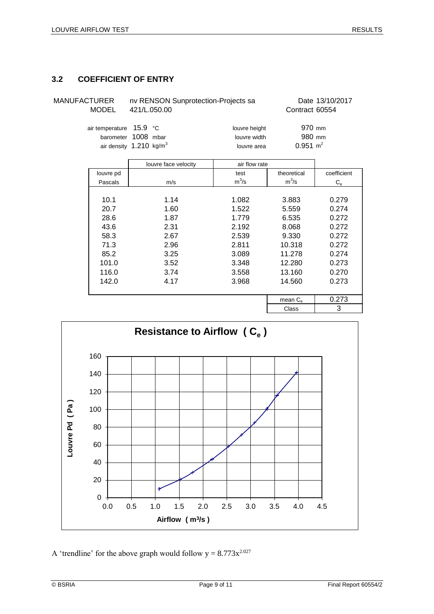#### <span id="page-8-0"></span>**3.2 COEFFICIENT OF ENTRY**

MANUFACTURER nv RENSON Sunprotection-Projects sa Date 13/10/2017 MODEL 421/L.050.00 Contract 60554

| air temperature 15.9 °C            |  | louvre height | 970 mm              |
|------------------------------------|--|---------------|---------------------|
| barometer 1008 mbar                |  | louvre width  | 980 mm              |
| air density $1.210 \text{ kg/m}^3$ |  | louvre area   | $0.951 \text{ m}^2$ |

|           | louvre face velocity | air flow rate |                   |             |
|-----------|----------------------|---------------|-------------------|-------------|
| louvre pd |                      | test          | theoretical       | coefficient |
| Pascals   | m/s                  | $m^3/s$       | $m^3/s$           | $C_{\rm e}$ |
|           |                      |               |                   |             |
| 10.1      | 1.14                 | 1.082         | 3.883             | 0.279       |
| 20.7      | 1.60                 | 1.522         | 5.559             | 0.274       |
| 28.6      | 1.87                 | 1.779         | 6.535             | 0.272       |
| 43.6      | 2.31                 | 2.192         | 8.068             | 0.272       |
| 58.3      | 2.67                 | 2.539         | 9.330             | 0.272       |
| 71.3      | 2.96                 | 2.811         | 10.318            | 0.272       |
| 85.2      | 3.25                 | 3.089         | 11.278            | 0.274       |
| 101.0     | 3.52                 | 3.348         | 12.280            | 0.273       |
| 116.0     | 3.74                 | 3.558         | 13.160            | 0.270       |
| 142.0     | 4.17                 | 3.968         | 14.560            | 0.273       |
|           |                      |               |                   |             |
|           |                      |               | mean $C_{\alpha}$ | 0.273       |
|           |                      |               | $\sim$            | ົ           |



A 'trendline' for the above graph would follow  $y = 8.773x^{2.027}$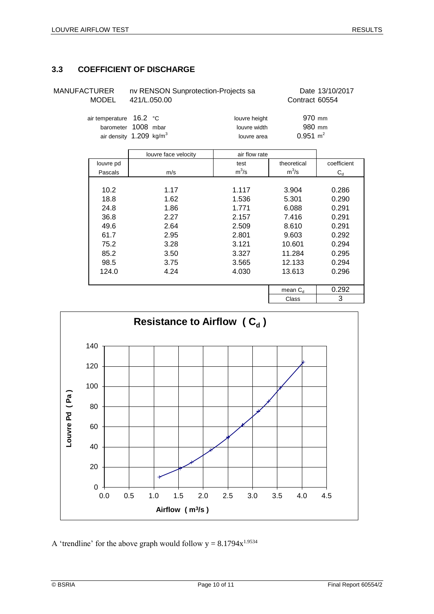### <span id="page-9-0"></span>**3.3 COEFFICIENT OF DISCHARGE**

| MANUFACTURER<br><b>MODEL</b> | nv RENSON Sunprotection-Projects sa<br>421/L.050.00                                   | Date 13/10/2017<br>Contract 60554 |                                         |             |
|------------------------------|---------------------------------------------------------------------------------------|-----------------------------------|-----------------------------------------|-------------|
|                              | air temperature 16.2 °C<br>barometer 1008 mbar<br>air density 1.209 kg/m <sup>3</sup> |                                   | 970 mm<br>980 mm<br>$0.951 \text{ m}^2$ |             |
|                              | louvre face velocity                                                                  | air flow rate                     |                                         |             |
| louvre pd                    |                                                                                       | test                              | theoretical                             | coefficient |
| Pascals                      | m/s                                                                                   | $m^3/s$                           | $m^3/s$                                 | $C_{d}$     |

| Pascals | m/s  | $m^3/s$ | $m^3/s$      | $C_{d}$ |
|---------|------|---------|--------------|---------|
|         |      |         |              |         |
| 10.2    | 1.17 | 1.117   | 3.904        | 0.286   |
| 18.8    | 1.62 | 1.536   | 5.301        | 0.290   |
| 24.8    | 1.86 | 1.771   | 6.088        | 0.291   |
| 36.8    | 2.27 | 2.157   | 7.416        | 0.291   |
| 49.6    | 2.64 | 2.509   | 8.610        | 0.291   |
| 61.7    | 2.95 | 2.801   | 9.603        | 0.292   |
| 75.2    | 3.28 | 3.121   | 10.601       | 0.294   |
| 85.2    | 3.50 | 3.327   | 11.284       | 0.295   |
| 98.5    | 3.75 | 3.565   | 12.133       | 0.294   |
| 124.0   | 4.24 | 4.030   | 13.613       | 0.296   |
|         |      |         |              |         |
|         |      |         | mean $C_{d}$ | 0.292   |
|         |      |         | Class        | 3       |



A 'trendline' for the above graph would follow  $y = 8.1794x^{1.9534}$